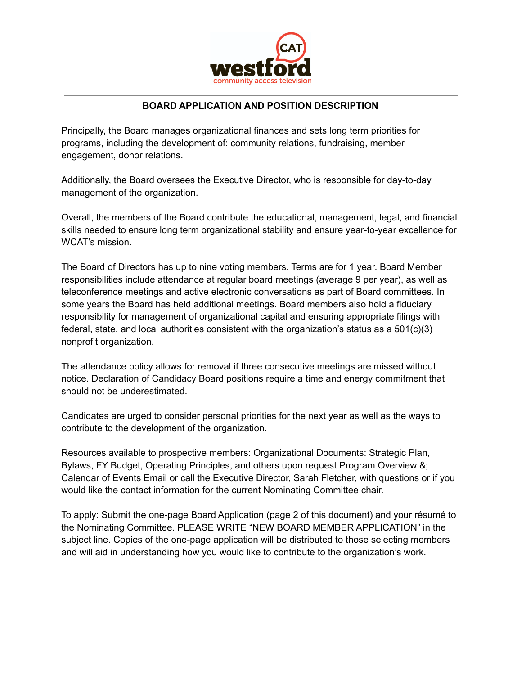

## **BOARD APPLICATION AND POSITION DESCRIPTION**

Principally, the Board manages organizational finances and sets long term priorities for programs, including the development of: community relations, fundraising, member engagement, donor relations.

Additionally, the Board oversees the Executive Director, who is responsible for day-to-day management of the organization.

Overall, the members of the Board contribute the educational, management, legal, and financial skills needed to ensure long term organizational stability and ensure year-to-year excellence for WCAT's mission.

The Board of Directors has up to nine voting members. Terms are for 1 year. Board Member responsibilities include attendance at regular board meetings (average 9 per year), as well as teleconference meetings and active electronic conversations as part of Board committees. In some years the Board has held additional meetings. Board members also hold a fiduciary responsibility for management of organizational capital and ensuring appropriate filings with federal, state, and local authorities consistent with the organization's status as a  $501(c)(3)$ nonprofit organization.

The attendance policy allows for removal if three consecutive meetings are missed without notice. Declaration of Candidacy Board positions require a time and energy commitment that should not be underestimated.

Candidates are urged to consider personal priorities for the next year as well as the ways to contribute to the development of the organization.

Resources available to prospective members: Organizational Documents: Strategic Plan, Bylaws, FY Budget, Operating Principles, and others upon request Program Overview &; Calendar of Events Email or call the Executive Director, Sarah Fletcher, with questions or if you would like the contact information for the current Nominating Committee chair.

To apply: Submit the one-page Board Application (page 2 of this document) and your résumé to the Nominating Committee. PLEASE WRITE "NEW BOARD MEMBER APPLICATION" in the subject line. Copies of the one-page application will be distributed to those selecting members and will aid in understanding how you would like to contribute to the organization's work.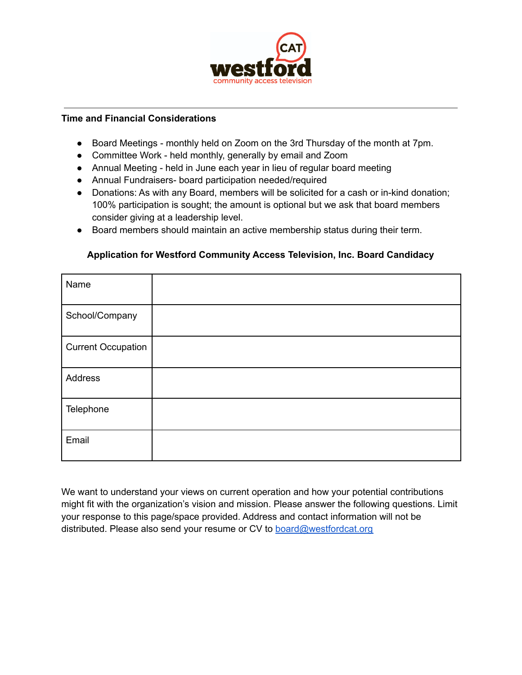

## **Time and Financial Considerations**

- Board Meetings monthly held on Zoom on the 3rd Thursday of the month at 7pm.
- Committee Work held monthly, generally by email and Zoom
- Annual Meeting held in June each year in lieu of regular board meeting
- Annual Fundraisers- board participation needed/required
- Donations: As with any Board, members will be solicited for a cash or in-kind donation; 100% participation is sought; the amount is optional but we ask that board members consider giving at a leadership level.
- Board members should maintain an active membership status during their term.

## Name School/Company Current Occupation Address **Telephone** Email

## **Application for Westford Community Access Television, Inc. Board Candidacy**

We want to understand your views on current operation and how your potential contributions might fit with the organization's vision and mission. Please answer the following questions. Limit your response to this page/space provided. Address and contact information will not be distributed. Please also send your resume or CV to **[board@westfordcat.org](mailto:board@westfordcat.org)**